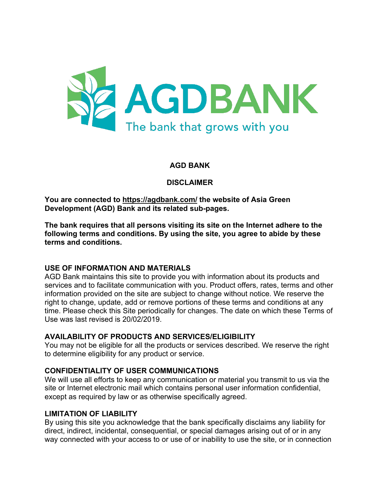

### **AGD BANK**

#### **DISCLAIMER**

**You are connected to https://agdbank.com/ the website of Asia Green Development (AGD) Bank and its related sub-pages.** 

**The bank requires that all persons visiting its site on the Internet adhere to the following terms and conditions. By using the site, you agree to abide by these terms and conditions.**

#### **USE OF INFORMATION AND MATERIALS**

AGD Bank maintains this site to provide you with information about its products and services and to facilitate communication with you. Product offers, rates, terms and other information provided on the site are subject to change without notice. We reserve the right to change, update, add or remove portions of these terms and conditions at any time. Please check this Site periodically for changes. The date on which these Terms of Use was last revised is 20/02/2019.

#### **AVAILABILITY OF PRODUCTS AND SERVICES/ELIGIBILITY**

You may not be eligible for all the products or services described. We reserve the right to determine eligibility for any product or service.

#### **CONFIDENTIALITY OF USER COMMUNICATIONS**

We will use all efforts to keep any communication or material you transmit to us via the site or Internet electronic mail which contains personal user information confidential, except as required by law or as otherwise specifically agreed.

#### **LIMITATION OF LIABILITY**

By using this site you acknowledge that the bank specifically disclaims any liability for direct, indirect, incidental, consequential, or special damages arising out of or in any way connected with your access to or use of or inability to use the site, or in connection